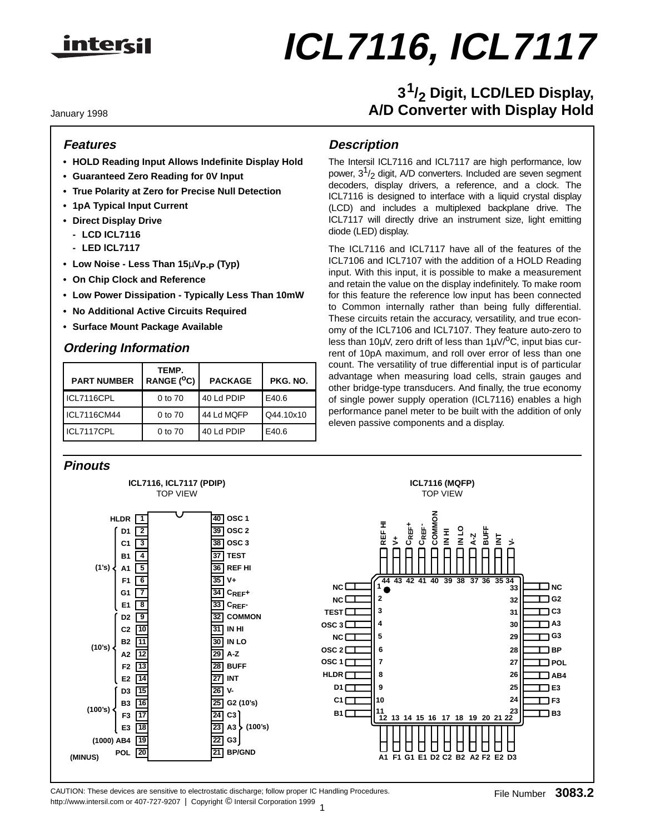

# **ICL7116, ICL7117**

# **<sup>3</sup>1/2 Digit, LCD/LED Display,** January 1998 **A/D Converter with Display Hold**

# **Features**

- **HOLD Reading Input Allows Indefinite Display Hold**
- **Guaranteed Zero Reading for 0V Input**
- **True Polarity at Zero for Precise Null Detection**
- **1pA Typical Input Current**
- **Direct Display Drive**
- **LCD ICL7116**
- **LED lCL7117**
- **Low Noise Less Than 15**µ**VP-P (Typ)**
- **On Chip Clock and Reference**
- **Low Power Dissipation Typically Less Than 10mW**
- **No Additional Active Circuits Required**
- **Surface Mount Package Available**

# **Ordering Information**

| <b>PART NUMBER</b> | TEMP.<br>RANGE (°C) | <b>PACKAGE</b> | PKG. NO.  |
|--------------------|---------------------|----------------|-----------|
| ICL7116CPL         | 0 to 70             | 40 Ld PDIP     | E40.6     |
| ICL7116CM44        | 0 to 70             | 44 Ld MQFP     | Q44.10x10 |
| ICL7117CPL         | 0 to 70             | 40 Ld PDIP     | E40.6     |

# **Pinouts**

# **Description**

The Intersil ICL7116 and ICL7117 are high performance, low power,  $3^{1/2}$  digit, A/D converters. Included are seven segment decoders, display drivers, a reference, and a clock. The ICL7116 is designed to interface with a liquid crystal display (LCD) and includes a multiplexed backplane drive. The ICL7117 will directly drive an instrument size, light emitting diode (LED) display.

The ICL7116 and ICL7117 have all of the features of the ICL7106 and ICL7107 with the addition of a HOLD Reading input. With this input, it is possible to make a measurement and retain the value on the display indefinitely. To make room for this feature the reference low input has been connected to Common internally rather than being fully differential. These circuits retain the accuracy, versatility, and true economy of the ICL7106 and ICL7107. They feature auto-zero to less than 10 $\mu$ V, zero drift of less than 1 $\mu$ V/<sup>O</sup>C, input bias current of 10pA maximum, and roll over error of less than one count. The versatility of true differential input is of particular advantage when measuring load cells, strain gauges and other bridge-type transducers. And finally, the true economy of single power supply operation (ICL7116) enables a high performance panel meter to be built with the addition of only eleven passive components and a display.



http://www.intersil.com or 407-727-9207 | Copyright © Intersil Corporation 1999<br>1 CAUTION: These devices are sensitive to electrostatic discharge; follow proper IC Handling Procedures. File Number 3083.2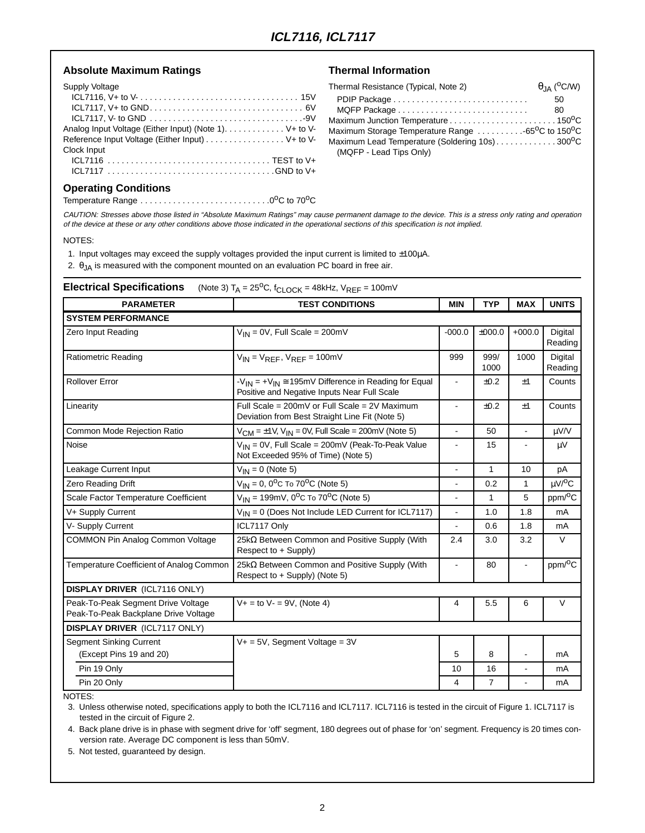#### Absolute Maximum Ratings **National Information**

|  | <b>Supply Voltage</b> |
|--|-----------------------|
|--|-----------------------|

| Reference Input Voltage (Either Input) V+ to V- |
|-------------------------------------------------|
| Clock Input                                     |
|                                                 |
|                                                 |
|                                                 |

| Thermal Resistance (Typical, Note 2)                                       | $\theta_{JA}$ ( <sup>o</sup> C/W) |
|----------------------------------------------------------------------------|-----------------------------------|
|                                                                            | 50                                |
|                                                                            | 80                                |
|                                                                            |                                   |
| Maximum Storage Temperature Range -65 <sup>o</sup> C to 150 <sup>o</sup> C |                                   |
| Maximum Lead Temperature (Soldering 10s)300°C                              |                                   |
| (MQFP - Lead Tips Only)                                                    |                                   |

**Operating Conditions**

Temperature Range . . . . . . . . . . . . . . . . . . . . . . . . . . . .0oC to 70oC

CAUTION: Stresses above those listed in "Absolute Maximum Ratings" may cause permanent damage to the device. This is a stress only rating and operation of the device at these or any other conditions above those indicated in the operational sections of this specification is not implied.

#### NOTES:

1. Input voltages may exceed the supply voltages provided the input current is limited to ±100µA.

2.  $\theta$ <sub>JA</sub> is measured with the component mounted on an evaluation PC board in free air.

| <b>Electrical Specifications</b><br>(Note 3) $T_A = 25^{\circ}C$ , $f_{CLOCK} = 48kHz$ , $V_{REF} = 100mV$ |                                                                                                                        |                |                |                |                         |  |
|------------------------------------------------------------------------------------------------------------|------------------------------------------------------------------------------------------------------------------------|----------------|----------------|----------------|-------------------------|--|
| <b>PARAMETER</b>                                                                                           | <b>TEST CONDITIONS</b>                                                                                                 | <b>MIN</b>     | <b>TYP</b>     | <b>MAX</b>     | <b>UNITS</b>            |  |
| <b>SYSTEM PERFORMANCE</b>                                                                                  |                                                                                                                        |                |                |                |                         |  |
| Zero Input Reading                                                                                         | $V_{IN} = 0V$ , Full Scale = 200mV                                                                                     | $-000.0$       | ±000.0         | $+000.0$       | Digital<br>Reading      |  |
| <b>Ratiometric Reading</b>                                                                                 | $V_{IN}$ = $V_{REF}$ , $V_{REF}$ = 100mV                                                                               | 999            | 999/<br>1000   | 1000           | Digital<br>Reading      |  |
| <b>Rollover Error</b>                                                                                      | $-V_{IN}$ = + $V_{IN}$ $\approx$ 195mV Difference in Reading for Equal<br>Positive and Negative Inputs Near Full Scale | ÷,             | ±0.2           | ±1             | Counts                  |  |
| Linearity                                                                                                  | Full Scale = 200mV or Full Scale = 2V Maximum<br>Deviation from Best Straight Line Fit (Note 5)                        |                | ±0.2           | ±1             | Counts                  |  |
| Common Mode Rejection Ratio                                                                                | $V_{CM} = \pm 1V$ , $V_{IN} = 0V$ , Full Scale = 200mV (Note 5)                                                        | ÷,             | 50             | $\blacksquare$ | uV/V                    |  |
| Noise                                                                                                      | $V_{1N}$ = 0V, Full Scale = 200mV (Peak-To-Peak Value<br>Not Exceeded 95% of Time) (Note 5)                            |                | 15             |                | μV                      |  |
| Leakage Current Input                                                                                      | $V_{IN} = 0$ (Note 5)                                                                                                  | $\overline{a}$ | $\mathbf{1}$   | 10             | pA                      |  |
| Zero Reading Drift                                                                                         | $V_{IN} = 0$ , 0 <sup>o</sup> C To 70 <sup>o</sup> C (Note 5)                                                          | $\blacksquare$ | 0.2            | $\mathbf{1}$   | $\mu$ V/ <sup>o</sup> C |  |
| Scale Factor Temperature Coefficient                                                                       | $V_{IN}$ = 199mV, 0 <sup>o</sup> C To 70 <sup>o</sup> C (Note 5)                                                       | ÷,             | 1              | 5              | ppm/ <sup>o</sup> C     |  |
| V+ Supply Current                                                                                          | $V_{1N} = 0$ (Does Not Include LED Current for ICL7117)                                                                | $\blacksquare$ | 1.0            | 1.8            | mA                      |  |
| V- Supply Current                                                                                          | ICL7117 Only                                                                                                           | ÷.             | 0.6            | 1.8            | mA                      |  |
| <b>COMMON Pin Analog Common Voltage</b>                                                                    | 25kΩ Between Common and Positive Supply (With<br>Respect to + Supply)                                                  | 2.4            | 3.0            | 3.2            | $\vee$                  |  |
| Temperature Coefficient of Analog Common                                                                   | 25kΩ Between Common and Positive Supply (With<br>Respect to + Supply) (Note 5)                                         |                | 80             |                | ppm/ <sup>o</sup> C     |  |
| <b>DISPLAY DRIVER (ICL7116 ONLY)</b>                                                                       |                                                                                                                        |                |                |                |                         |  |
| Peak-To-Peak Segment Drive Voltage<br>Peak-To-Peak Backplane Drive Voltage                                 | $V + =$ to $V - = 9V$ , (Note 4)                                                                                       | 4              | 5.5            | 6              | $\vee$                  |  |
| <b>DISPLAY DRIVER (ICL7117 ONLY)</b>                                                                       |                                                                                                                        |                |                |                |                         |  |
| <b>Segment Sinking Current</b>                                                                             | $V_+$ = 5V, Segment Voltage = 3V                                                                                       |                |                |                |                         |  |
| (Except Pins 19 and 20)                                                                                    |                                                                                                                        | 5              | 8              |                | mA                      |  |
| Pin 19 Only                                                                                                |                                                                                                                        | 10             | 16             | ٠              | mA                      |  |
| Pin 20 Only                                                                                                |                                                                                                                        | 4              | $\overline{7}$ |                | mA                      |  |

NOTES:

3. Unless otherwise noted, specifications apply to both the ICL7116 and ICL7117. ICL7116 is tested in the circuit of Figure 1. ICL7117 is tested in the circuit of Figure 2.

4. Back plane drive is in phase with segment drive for 'off' segment, 180 degrees out of phase for 'on' segment. Frequency is 20 times conversion rate. Average DC component is less than 50mV.

5. Not tested, guaranteed by design.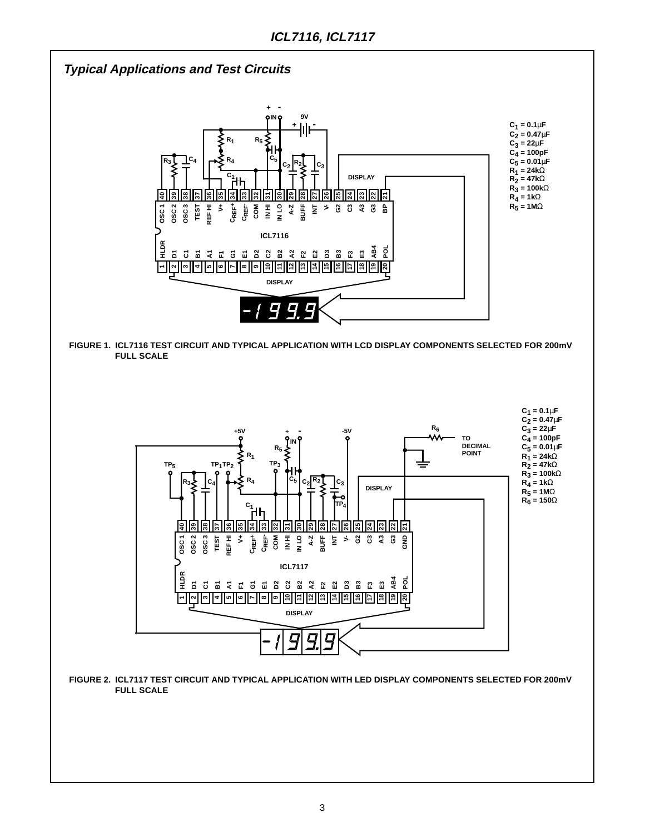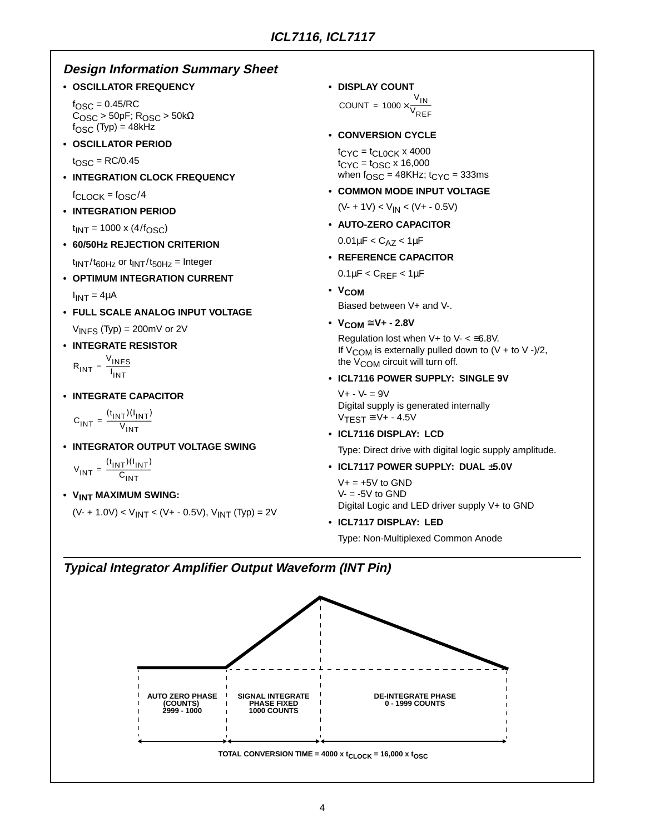# **Design Information Summary Sheet**

**• OSCILLATOR FREQUENCY**

 $f<sub>OSC</sub> = 0.45/RC$  $C<sub>OSC</sub>$  > 50pF; R<sub>OSC</sub> > 50k $\Omega$  $f<sub>OSC</sub>$  (Typ) = 48kHz

**• OSCILLATOR PERIOD**

 $t<sub>OSC</sub> = RC/0.45$ 

**• INTEGRATION CLOCK FREQUENCY**

 $f_{CLOCK} = f_{OSC}/4$ 

**• INTEGRATION PERIOD**

 $t_{INT} = 1000 \times (4/f_{OSC})$ 

- **60/50Hz REJECTION CRITERION**  $t_{\text{INT}}/t_{\text{60Hz}}$  or  $t_{\text{INT}}/t_{\text{50Hz}}$  = Integer
- **OPTIMUM INTEGRATION CURRENT**

 $I_{INT} = 4\mu A$ 

- **FULL SCALE ANALOG INPUT VOLTAGE**  $V_{INFS}$  (Typ) = 200mV or 2V
- **INTEGRATE RESISTOR**

 $R_{INT} = \frac{V_{INFS}}{V_{IVF}}$ I INT  $= -1$ 

**• INTEGRATE CAPACITOR**

 $C_{\text{INT}} = \frac{(t_{\text{INT}})(l_{\text{INT}})}{V_{\text{H}}(l_{\text{INT}})}$  $=\frac{V_{INT}}{V_{INT}}$ 

**• INTEGRATOR OUTPUT VOLTAGE SWING**

 $V_{\text{INT}} = \frac{(t_{\text{INT}})(l_{\text{INT}})}{C_{\text{H}}}$  $=\frac{C_{INT}}{C_{INT}}$ 

**• VINT MAXIMUM SWING:**

 $(V - + 1.0V) < V_{INT} < (V + - 0.5V), V_{INT} (Typ) = 2V$ 

**• DISPLAY COUNT**

COUNT =  $1000 \times \frac{V_{IN}}{V}$  $= 1000 \times \frac{18}{V_{REF}}$ 

**• CONVERSION CYCLE**

 $t_{\rm CVC}$  =  $t_{\rm CI~0CK}$  x 4000  $t_{\text{CYC}} = t_{\text{OSC}} \times 16,000$ when  $f_{\text{OSC}} = 48$ KHz;  $t_{\text{CYC}} = 333$ ms

**• COMMON MODE INPUT VOLTAGE**

 $(V - + 1V) < V_{IN} < (V + - 0.5V)$ 

**• AUTO-ZERO CAPACITOR**

 $0.01 \mu F < C_{A7} < 1 \mu F$ 

**• REFERENCE CAPACITOR**

 $0.1 \mu$ F <  $C_{REF}$  <  $1 \mu$ F

**• VCOM**

Biased between V+ and V-.

 $\cdot$  V<sub>COM</sub> ≅ V+ - 2.8V

Regulation lost when  $V+$  to  $V \leq$   $\leq$  6.8V. If  $V_{COM}$  is externally pulled down to  $(V + to V -)/2$ , the  $V_{\text{COM}}$  circuit will turn off.

**• ICL7116 POWER SUPPLY: SINGLE 9V**

 $V + - V - = 9V$ Digital supply is generated internally  $V$ TEST $\cong$  V+ - 4.5V

**• ICL7116 DISPLAY: LCD**

Type: Direct drive with digital logic supply amplitude.

### **• ICL7117 POWER SUPPLY: DUAL** ±**5.0V**

 $V+=+5V$  to GND  $V = -5V$  to GND Digital Logic and LED driver supply V+ to GND

**• ICL7117 DISPLAY: LED**

Type: Non-Multiplexed Common Anode

# **Typical Integrator Amplifier Output Waveform (INT Pin)**

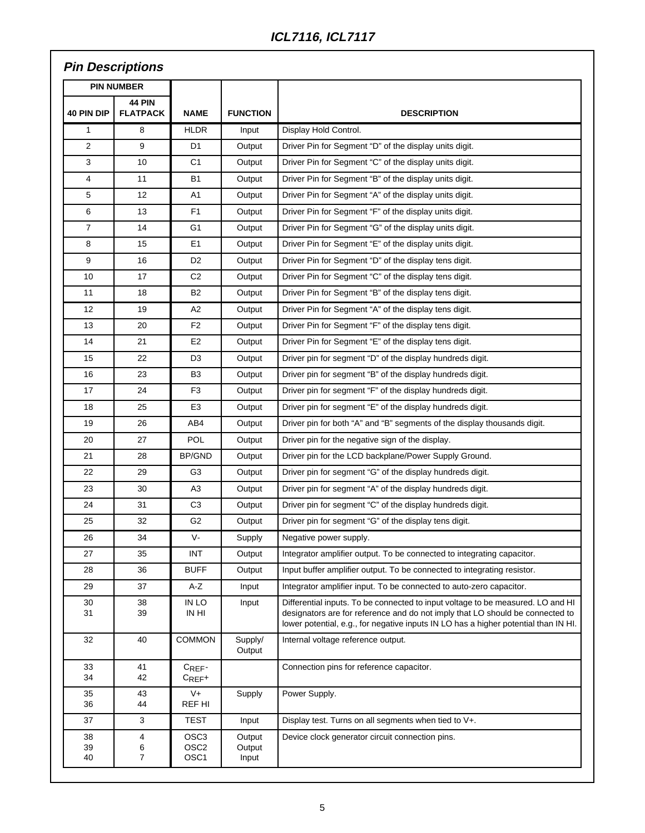# **Pin Descriptions**

| <b>PIN NUMBER</b> |                 |                                                          |                           |                                                                                                                                                                                                                                                         |
|-------------------|-----------------|----------------------------------------------------------|---------------------------|---------------------------------------------------------------------------------------------------------------------------------------------------------------------------------------------------------------------------------------------------------|
| <b>44 PIN</b>     |                 |                                                          |                           |                                                                                                                                                                                                                                                         |
| <b>40 PIN DIP</b> | <b>FLATPACK</b> | <b>NAME</b>                                              | <b>FUNCTION</b>           | <b>DESCRIPTION</b>                                                                                                                                                                                                                                      |
| 1                 | 8               | <b>HLDR</b>                                              | Input                     | Display Hold Control.                                                                                                                                                                                                                                   |
| $\overline{2}$    | 9               | D <sub>1</sub>                                           | Output                    | Driver Pin for Segment "D" of the display units digit.                                                                                                                                                                                                  |
| 3                 | 10              | C <sub>1</sub>                                           | Output                    | Driver Pin for Segment "C" of the display units digit.                                                                                                                                                                                                  |
| 4                 | 11              | <b>B1</b>                                                | Output                    | Driver Pin for Segment "B" of the display units digit.                                                                                                                                                                                                  |
| $\,$ 5 $\,$       | 12              | A <sub>1</sub>                                           | Output                    | Driver Pin for Segment "A" of the display units digit.                                                                                                                                                                                                  |
| 6                 | 13              | F1                                                       | Output                    | Driver Pin for Segment "F" of the display units digit.                                                                                                                                                                                                  |
| $\boldsymbol{7}$  | 14              | G <sub>1</sub>                                           | Output                    | Driver Pin for Segment "G" of the display units digit.                                                                                                                                                                                                  |
| 8                 | 15              | E <sub>1</sub>                                           | Output                    | Driver Pin for Segment "E" of the display units digit.                                                                                                                                                                                                  |
| 9                 | 16              | D <sub>2</sub>                                           | Output                    | Driver Pin for Segment "D" of the display tens digit.                                                                                                                                                                                                   |
| 10                | 17              | C <sub>2</sub>                                           | Output                    | Driver Pin for Segment "C" of the display tens digit.                                                                                                                                                                                                   |
| 11                | 18              | <b>B2</b>                                                | Output                    | Driver Pin for Segment "B" of the display tens digit.                                                                                                                                                                                                   |
| 12                | 19              | A <sub>2</sub>                                           | Output                    | Driver Pin for Segment "A" of the display tens digit.                                                                                                                                                                                                   |
| 13                | 20              | F <sub>2</sub>                                           | Output                    | Driver Pin for Segment "F" of the display tens digit.                                                                                                                                                                                                   |
| 14                | 21              | E <sub>2</sub>                                           | Output                    | Driver Pin for Segment "E" of the display tens digit.                                                                                                                                                                                                   |
| 15                | 22              | D <sub>3</sub>                                           | Output                    | Driver pin for segment "D" of the display hundreds digit.                                                                                                                                                                                               |
| 16                | 23              | B <sub>3</sub>                                           | Output                    | Driver pin for segment "B" of the display hundreds digit.                                                                                                                                                                                               |
| 17                | 24              | F <sub>3</sub>                                           | Output                    | Driver pin for segment "F" of the display hundreds digit.                                                                                                                                                                                               |
| 18                | 25              | E <sub>3</sub>                                           | Output                    | Driver pin for segment "E" of the display hundreds digit.                                                                                                                                                                                               |
| 19                | 26              | AB4                                                      | Output                    | Driver pin for both "A" and "B" segments of the display thousands digit.                                                                                                                                                                                |
| 20                | 27              | POL                                                      | Output                    | Driver pin for the negative sign of the display.                                                                                                                                                                                                        |
| 21                | 28              | <b>BP/GND</b>                                            | Output                    | Driver pin for the LCD backplane/Power Supply Ground.                                                                                                                                                                                                   |
| 22                | 29              | G <sub>3</sub>                                           | Output                    | Driver pin for segment "G" of the display hundreds digit.                                                                                                                                                                                               |
| 23                | 30              | A <sub>3</sub>                                           | Output                    | Driver pin for segment "A" of the display hundreds digit.                                                                                                                                                                                               |
| 24                | 31              | C <sub>3</sub>                                           | Output                    | Driver pin for segment "C" of the display hundreds digit.                                                                                                                                                                                               |
| 25                | 32              | G <sub>2</sub>                                           | Output                    | Driver pin for segment "G" of the display tens digit.                                                                                                                                                                                                   |
| 26                | 34              | ν-                                                       | Supply                    | Negative power supply.                                                                                                                                                                                                                                  |
| 27                | 35              | <b>INT</b>                                               | Output                    | Integrator amplifier output. To be connected to integrating capacitor.                                                                                                                                                                                  |
| 28                | 36              | <b>BUFF</b>                                              | Output                    | Input buffer amplifier output. To be connected to integrating resistor.                                                                                                                                                                                 |
| 29                | 37              | A-Z                                                      | Input                     | Integrator amplifier input. To be connected to auto-zero capacitor.                                                                                                                                                                                     |
| 30<br>31          | 38<br>39        | IN LO<br>IN HI                                           | Input                     | Differential inputs. To be connected to input voltage to be measured. LO and HI<br>designators are for reference and do not imply that LO should be connected to<br>lower potential, e.g., for negative inputs IN LO has a higher potential than IN HI. |
| 32                | 40              | <b>COMMON</b>                                            | Supply/<br>Output         | Internal voltage reference output.                                                                                                                                                                                                                      |
| 33<br>34          | 41<br>42        | $C_{REF}$<br>$C_{REF}+$                                  |                           | Connection pins for reference capacitor.                                                                                                                                                                                                                |
| 35<br>36          | 43<br>44        | V+<br>REF HI                                             | Supply                    | Power Supply.                                                                                                                                                                                                                                           |
| 37                | 3               | <b>TEST</b>                                              | Input                     | Display test. Turns on all segments when tied to V+.                                                                                                                                                                                                    |
| 38<br>39<br>40    | 4<br>6<br>7     | OSC <sub>3</sub><br>OSC <sub>2</sub><br>OSC <sub>1</sub> | Output<br>Output<br>Input | Device clock generator circuit connection pins.                                                                                                                                                                                                         |
|                   |                 |                                                          |                           |                                                                                                                                                                                                                                                         |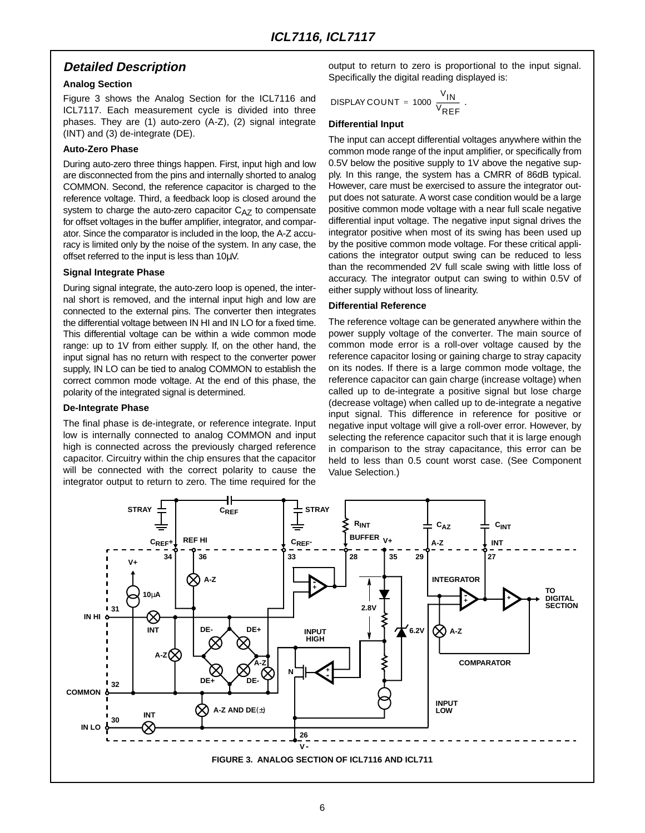# **Detailed Description**

#### **Analog Section**

Figure 3 shows the Analog Section for the ICL7116 and ICL7117. Each measurement cycle is divided into three phases. They are (1) auto-zero (A-Z), (2) signal integrate (INT) and (3) de-integrate (DE).

#### **Auto-Zero Phase**

During auto-zero three things happen. First, input high and low are disconnected from the pins and internally shorted to analog COMMON. Second, the reference capacitor is charged to the reference voltage. Third, a feedback loop is closed around the system to charge the auto-zero capacitor  $C_{A7}$  to compensate for offset voltages in the buffer amplifier, integrator, and comparator. Since the comparator is included in the loop, the A-Z accuracy is limited only by the noise of the system. In any case, the offset referred to the input is less than 10µV.

#### **Signal Integrate Phase**

During signal integrate, the auto-zero loop is opened, the internal short is removed, and the internal input high and low are connected to the external pins. The converter then integrates the differential voltage between IN HI and IN LO for a fixed time. This differential voltage can be within a wide common mode range: up to 1V from either supply. If, on the other hand, the input signal has no return with respect to the converter power supply, IN LO can be tied to analog COMMON to establish the correct common mode voltage. At the end of this phase, the polarity of the integrated signal is determined.

#### **De-Integrate Phase**

The final phase is de-integrate, or reference integrate. Input low is internally connected to analog COMMON and input high is connected across the previously charged reference capacitor. Circuitry within the chip ensures that the capacitor will be connected with the correct polarity to cause the integrator output to return to zero. The time required for the

output to return to zero is proportional to the input signal. Specifically the digital reading displayed is:

$$
DISPLAY COUNT = 1000 \bigg( \frac{V_{IN}}{V_{REF}} \bigg).
$$

#### **Differential Input**

The input can accept differential voltages anywhere within the common mode range of the input amplifier, or specifically from 0.5V below the positive supply to 1V above the negative supply. In this range, the system has a CMRR of 86dB typical. However, care must be exercised to assure the integrator output does not saturate. A worst case condition would be a large positive common mode voltage with a near full scale negative differential input voltage. The negative input signal drives the integrator positive when most of its swing has been used up by the positive common mode voltage. For these critical applications the integrator output swing can be reduced to less than the recommended 2V full scale swing with little loss of accuracy. The integrator output can swing to within 0.5V of either supply without loss of linearity.

#### **Differential Reference**

The reference voltage can be generated anywhere within the power supply voltage of the converter. The main source of common mode error is a roll-over voltage caused by the reference capacitor losing or gaining charge to stray capacity on its nodes. If there is a large common mode voltage, the reference capacitor can gain charge (increase voltage) when called up to de-integrate a positive signal but lose charge (decrease voltage) when called up to de-integrate a negative input signal. This difference in reference for positive or negative input voltage will give a roll-over error. However, by selecting the reference capacitor such that it is large enough in comparison to the stray capacitance, this error can be held to less than 0.5 count worst case. (See Component Value Selection.)

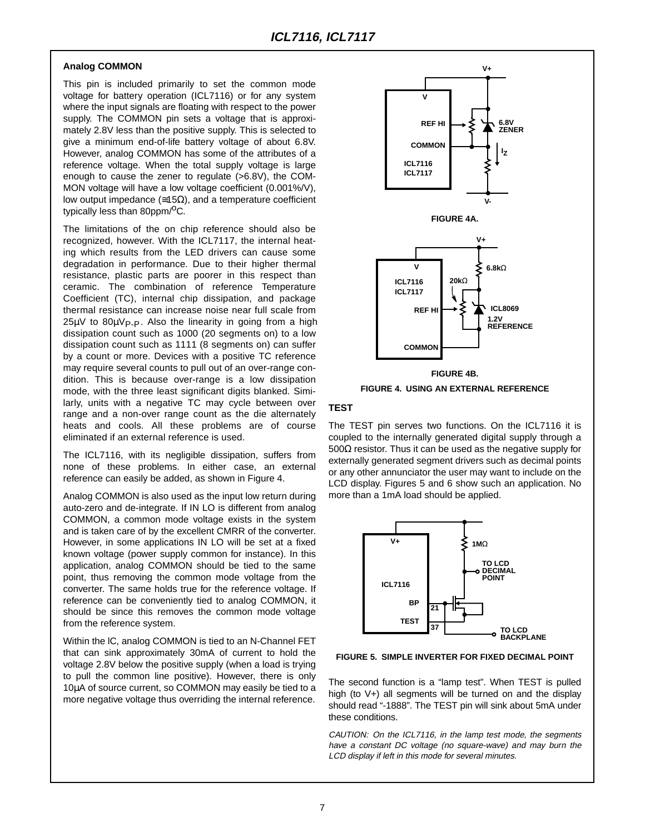### **Analog COMMON**

This pin is included primarily to set the common mode voltage for battery operation (ICL7116) or for any system where the input signals are floating with respect to the power supply. The COMMON pin sets a voltage that is approximately 2.8V less than the positive supply. This is selected to give a minimum end-of-life battery voltage of about 6.8V. However, analog COMMON has some of the attributes of a reference voltage. When the total supply voltage is large enough to cause the zener to regulate (>6.8V), the COM-MON voltage will have a low voltage coefficient (0.001%/V), low output impedance ( $\leq$ 15Ω), and a temperature coefficient typically less than 80ppm $\sqrt{O}$ C.

The limitations of the on chip reference should also be recognized, however. With the ICL7117, the internal heating which results from the LED drivers can cause some degradation in performance. Due to their higher thermal resistance, plastic parts are poorer in this respect than ceramic. The combination of reference Temperature Coefficient (TC), internal chip dissipation, and package thermal resistance can increase noise near full scale from  $25\mu$ V to  $80\mu$ V<sub>P-P</sub>. Also the linearity in going from a high dissipation count such as 1000 (20 segments on) to a low dissipation count such as 1111 (8 segments on) can suffer by a count or more. Devices with a positive TC reference may require several counts to pull out of an over-range condition. This is because over-range is a low dissipation mode, with the three least significant digits blanked. Similarly, units with a negative TC may cycle between over range and a non-over range count as the die alternately heats and cools. All these problems are of course eliminated if an external reference is used.

The ICL7116, with its negligible dissipation, suffers from none of these problems. In either case, an external reference can easily be added, as shown in Figure 4.

Analog COMMON is also used as the input low return during auto-zero and de-integrate. If IN LO is different from analog COMMON, a common mode voltage exists in the system and is taken care of by the excellent CMRR of the converter. However, in some applications IN LO will be set at a fixed known voltage (power supply common for instance). In this application, analog COMMON should be tied to the same point, thus removing the common mode voltage from the converter. The same holds true for the reference voltage. If reference can be conveniently tied to analog COMMON, it should be since this removes the common mode voltage from the reference system.

Within the lC, analog COMMON is tied to an N-Channel FET that can sink approximately 30mA of current to hold the voltage 2.8V below the positive supply (when a load is trying to pull the common line positive). However, there is only 10µA of source current, so COMMON may easily be tied to a more negative voltage thus overriding the internal reference.



**TEST**

The TEST pin serves two functions. On the ICL7116 it is coupled to the internally generated digital supply through a 500 $Ω$  resistor. Thus it can be used as the negative supply for externally generated segment drivers such as decimal points or any other annunciator the user may want to include on the LCD display. Figures 5 and 6 show such an application. No more than a 1mA load should be applied.



#### **FIGURE 5. SIMPLE INVERTER FOR FIXED DECIMAL POINT**

The second function is a "lamp test". When TEST is pulled high (to V+) all segments will be turned on and the display should read "-1888". The TEST pin will sink about 5mA under these conditions.

CAUTION: On the ICL7116, in the lamp test mode, the segments have a constant DC voltage (no square-wave) and may burn the LCD display if left in this mode for several minutes.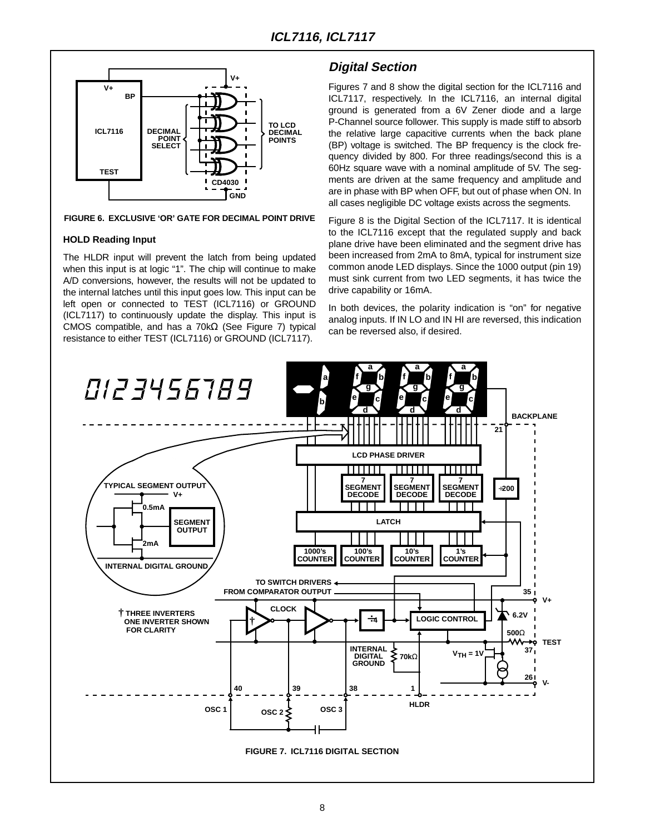

**FIGURE 6. EXCLUSIVE 'OR' GATE FOR DECIMAL POINT DRIVE**

### **HOLD Reading Input**

The HLDR input will prevent the latch from being updated when this input is at logic "1". The chip will continue to make A/D conversions, however, the results will not be updated to the internal latches until this input goes low. This input can be left open or connected to TEST (ICL7116) or GROUND (ICL7117) to continuously update the display. This input is CMOS compatible, and has a 70kΩ (See Figure 7) typical resistance to either TEST (ICL7116) or GROUND (ICL7117).

# **Digital Section**

Figures 7 and 8 show the digital section for the ICL7116 and ICL7117, respectively. In the ICL7116, an internal digital ground is generated from a 6V Zener diode and a large P-Channel source follower. This supply is made stiff to absorb the relative large capacitive currents when the back plane (BP) voltage is switched. The BP frequency is the clock frequency divided by 800. For three readings/second this is a 60Hz square wave with a nominal amplitude of 5V. The segments are driven at the same frequency and amplitude and are in phase with BP when OFF, but out of phase when ON. In all cases negligible DC voltage exists across the segments.

Figure 8 is the Digital Section of the ICL7117. It is identical to the ICL7116 except that the regulated supply and back plane drive have been eliminated and the segment drive has been increased from 2mA to 8mA, typical for instrument size common anode LED displays. Since the 1000 output (pin 19) must sink current from two LED segments, it has twice the drive capability or 16mA.

In both devices, the polarity indication is "on" for negative analog inputs. If IN LO and IN HI are reversed, this indication can be reversed also, if desired.

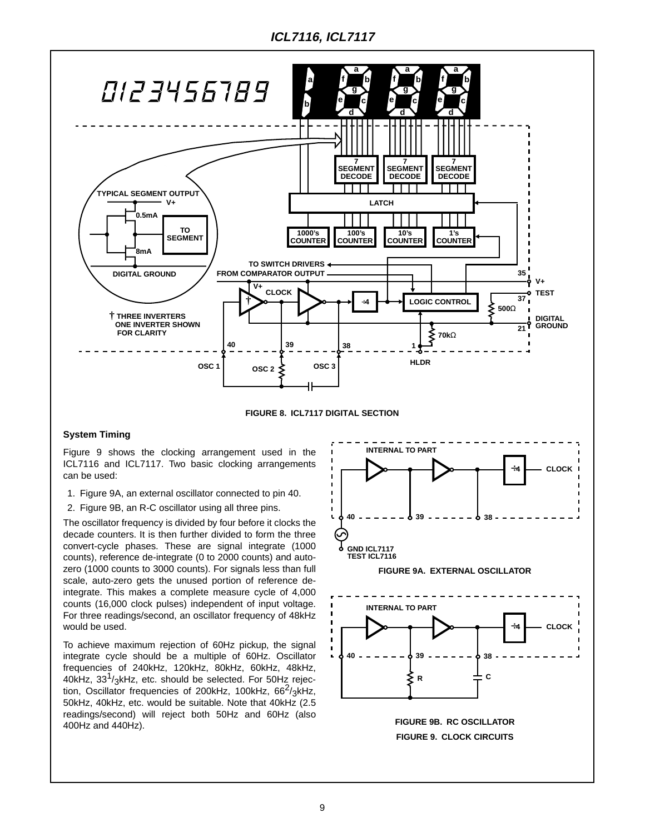

**FIGURE 8. ICL7117 DIGITAL SECTION**

#### **System Timing**

Figure 9 shows the clocking arrangement used in the ICL7116 and ICL7117. Two basic clocking arrangements can be used:

- 1. Figure 9A, an external oscillator connected to pin 40.
- 2. Figure 9B, an R-C oscillator using all three pins.

The oscillator frequency is divided by four before it clocks the decade counters. It is then further divided to form the three convert-cycle phases. These are signal integrate (1000 counts), reference de-integrate (0 to 2000 counts) and autozero (1000 counts to 3000 counts). For signals less than full scale, auto-zero gets the unused portion of reference deintegrate. This makes a complete measure cycle of 4,000 counts (16,000 clock pulses) independent of input voltage. For three readings/second, an oscillator frequency of 48kHz would be used.

To achieve maximum rejection of 60Hz pickup, the signal integrate cycle should be a multiple of 60Hz. Oscillator frequencies of 240kHz, 120kHz, 80kHz, 60kHz, 48kHz, 40kHz,  $33^{1}/3$ kHz, etc. should be selected. For 50Hz rejection, Oscillator frequencies of 200kHz, 100kHz,  $66^2$ /<sub>3</sub>kHz, 50kHz, 40kHz, etc. would be suitable. Note that 40kHz (2.5 readings/second) will reject both 50Hz and 60Hz (also 400Hz and 440Hz).

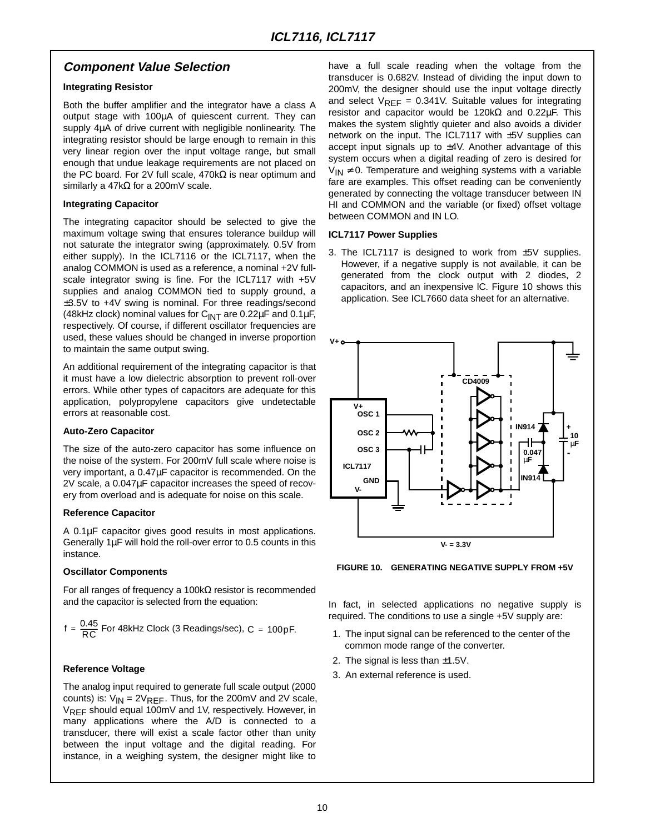# **Component Value Selection**

#### **Integrating Resistor**

Both the buffer amplifier and the integrator have a class A output stage with 100µA of quiescent current. They can supply 4µA of drive current with negligible nonlinearity. The integrating resistor should be large enough to remain in this very linear region over the input voltage range, but small enough that undue leakage requirements are not placed on the PC board. For 2V full scale, 470kΩ is near optimum and similarly a 47kΩ for a 200mV scale.

#### **Integrating Capacitor**

The integrating capacitor should be selected to give the maximum voltage swing that ensures tolerance buildup will not saturate the integrator swing (approximately. 0.5V from either supply). In the ICL7116 or the ICL7117, when the analog COMMON is used as a reference, a nominal +2V fullscale integrator swing is fine. For the ICL7117 with +5V supplies and analog COMMON tied to supply ground, a ±3.5V to +4V swing is nominal. For three readings/second (48kHz clock) nominal values for  $C_{\text{INT}}$  are 0.22µF and 0.1µF, respectively. Of course, if different oscillator frequencies are used, these values should be changed in inverse proportion to maintain the same output swing.

An additional requirement of the integrating capacitor is that it must have a low dielectric absorption to prevent roll-over errors. While other types of capacitors are adequate for this application, polypropylene capacitors give undetectable errors at reasonable cost.

### **Auto-Zero Capacitor**

The size of the auto-zero capacitor has some influence on the noise of the system. For 200mV full scale where noise is very important, a 0.47µF capacitor is recommended. On the 2V scale, a 0.047µF capacitor increases the speed of recovery from overload and is adequate for noise on this scale.

### **Reference Capacitor**

A 0.1µF capacitor gives good results in most applications. Generally 1µF will hold the roll-over error to 0.5 counts in this instance.

### **Oscillator Components**

For all ranges of frequency a 100kΩ resistor is recommended and the capacitor is selected from the equation:

$$
f = \frac{0.45}{RC}
$$
 For 48kHz Clock (3 Readings/sec), C = 100pF.

### **Reference Voltage**

The analog input required to generate full scale output (2000 counts) is:  $V_{IN} = 2V_{REF}$ . Thus, for the 200mV and 2V scale, VRFF should equal 100mV and 1V, respectively. However, in many applications where the A/D is connected to a transducer, there will exist a scale factor other than unity between the input voltage and the digital reading. For instance, in a weighing system, the designer might like to

have a full scale reading when the voltage from the transducer is 0.682V. Instead of dividing the input down to 200mV, the designer should use the input voltage directly and select  $V_{RFF}$  = 0.341V. Suitable values for integrating resistor and capacitor would be 120kΩ and 0.22μF. This makes the system slightly quieter and also avoids a divider network on the input. The ICL7117 with ±5V supplies can accept input signals up to  $\pm$ 4V. Another advantage of this system occurs when a digital reading of zero is desired for  $V_{1N} \neq 0$ . Temperature and weighing systems with a variable fare are examples. This offset reading can be conveniently generated by connecting the voltage transducer between IN HI and COMMON and the variable (or fixed) offset voltage between COMMON and IN LO.

#### **ICL7117 Power Supplies**

3. The ICL7117 is designed to work from  $\pm 5V$  supplies. However, if a negative supply is not available, it can be generated from the clock output with 2 diodes, 2 capacitors, and an inexpensive lC. Figure 10 shows this application. See ICL7660 data sheet for an alternative.



**FIGURE 10. GENERATING NEGATIVE SUPPLY FROM +5V**

In fact, in selected applications no negative supply is required. The conditions to use a single +5V supply are:

- 1. The input signal can be referenced to the center of the common mode range of the converter.
- 2. The signal is less than ±1.5V.
- 3. An external reference is used.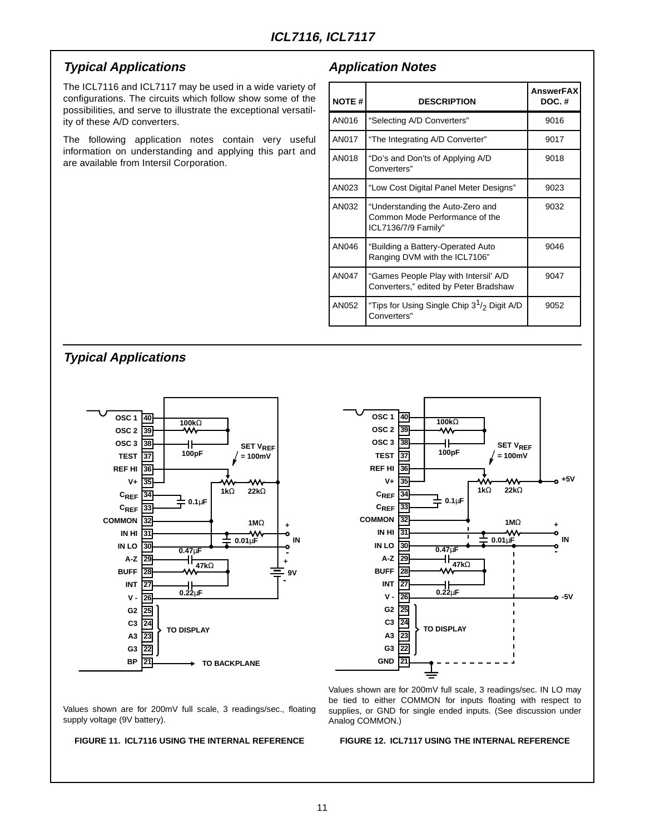# **Typical Applications**

The ICL7116 and ICL7117 may be used in a wide variety of configurations. The circuits which follow show some of the possibilities, and serve to illustrate the exceptional versatility of these A/D converters.

The following application notes contain very useful information on understanding and applying this part and are available from Intersil Corporation.

# **Application Notes**

| <b>NOTE#</b> | <b>DESCRIPTION</b>                                                                        | <b>AnswerFAX</b><br>$DOC.$ # |
|--------------|-------------------------------------------------------------------------------------------|------------------------------|
| AN016        | "Selecting A/D Converters"                                                                | 9016                         |
| AN017        | "The Integrating A/D Converter"                                                           | 9017                         |
| AN018        | "Do's and Don'ts of Applying A/D<br>Converters"                                           | 9018                         |
| AN023        | "Low Cost Digital Panel Meter Designs"                                                    | 9023                         |
| AN032        | "Understanding the Auto-Zero and<br>Common Mode Performance of the<br>ICL7136/7/9 Family" | 9032                         |
| AN046        | "Building a Battery-Operated Auto<br>Ranging DVM with the ICL7106"                        | 9046                         |
| AN047        | "Games People Play with Intersil' A/D<br>Converters," edited by Peter Bradshaw            | 9047                         |
| AN052        | "Tips for Using Single Chip 3 <sup>1</sup> / <sub>2</sub> Digit A/D<br>Converters"        | 9052                         |

# **Typical Applications**





Values shown are for 200mV full scale, 3 readings/sec., floating supply voltage (9V battery).

#### **FIGURE 11. ICL7116 USING THE INTERNAL REFERENCE FIGURE 12. ICL7117 USING THE INTERNAL REFERENCE**

Values shown are for 200mV full scale, 3 readings/sec. IN LO may be tied to either COMMON for inputs floating with respect to supplies, or GND for single ended inputs. (See discussion under Analog COMMON.)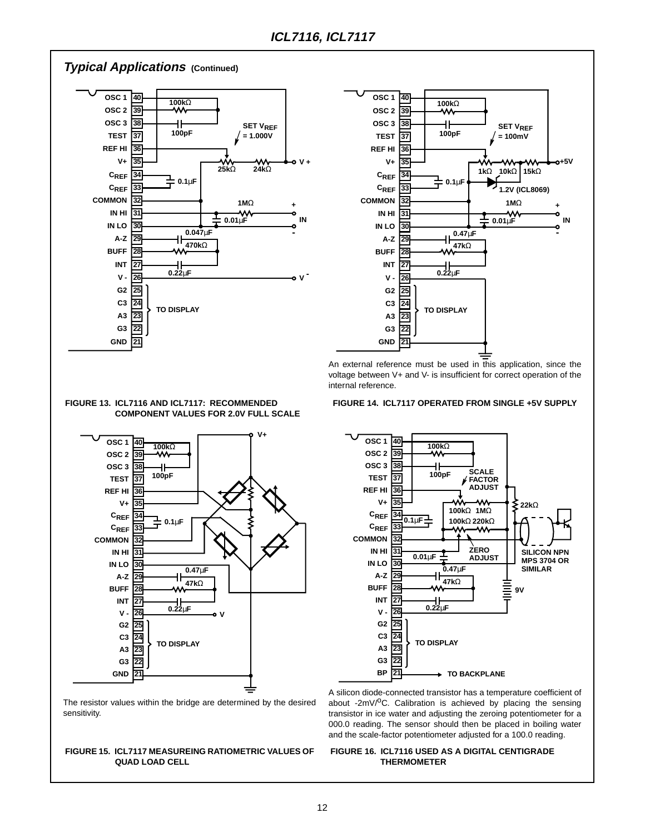

The resistor values within the bridge are determined by the desired sensitivity.

#### **FIGURE 15. ICL7117 MEASUREING RATIOMETRIC VALUES OF QUAD LOAD CELL**

# **FIGURE 16. ICL7116 USED AS A DIGITAL CENTIGRADE THERMOMETER**

about  $-2mV$ <sup>o</sup>C. Calibration is achieved by placing the sensing transistor in ice water and adjusting the zeroing potentiometer for a 000.0 reading. The sensor should then be placed in boiling water and the scale-factor potentiometer adjusted for a 100.0 reading.

**SET V<sub>REF</sub> = 100mV**

> **15k**Ω **1.2V (ICL8069)**

**0.01µF 1M**Ω

**0.47**µ**F**

**100k**Ω **1M**Ω

**100k**Ω **220k**Ω

**ZERO ADJUST**

**SCALE FACTOR ADJUST**

**9V**

**22k**Ω

**SILICON NPN MPS 3704 OR SIMILAR**

**IN +**

**+5V**

**-**

**1k**Ω **10k**Ω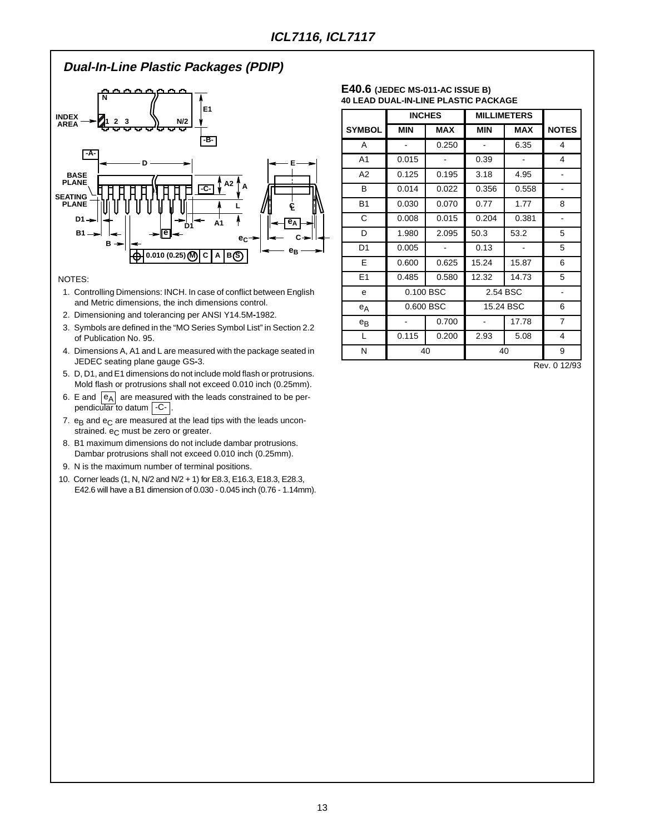# **Dual-In-Line Plastic Packages (PDIP)**



#### NOTES:

- 1. Controlling Dimensions: INCH. In case of conflict between English and Metric dimensions, the inch dimensions control.
- 2. Dimensioning and tolerancing per ANSI Y14.5M**-**1982.
- 3. Symbols are defined in the "MO Series Symbol List" in Section 2.2 of Publication No. 95.
- 4. Dimensions A, A1 and L are measured with the package seated in JEDEC seating plane gauge GS**-**3.
- 5. D, D1, and E1 dimensions do not include mold flash or protrusions. Mold flash or protrusions shall not exceed 0.010 inch (0.25mm).
- 6. E and  $|e_A|$  are measured with the leads constrained to be perpendicular to datum  $\vert$  -C- $\vert$ .
- 7.  $e_B$  and  $e_C$  are measured at the lead tips with the leads unconstrained.  $e_C$  must be zero or greater.
- 8. B1 maximum dimensions do not include dambar protrusions. Dambar protrusions shall not exceed 0.010 inch (0.25mm).
- 9. N is the maximum number of terminal positions.
- 10. Corner leads (1, N, N/2 and N/2 + 1) for E8.3, E16.3, E18.3, E28.3, E42.6 will have a B1 dimension of 0.030 - 0.045 inch (0.76 - 1.14mm).

#### **E40.6 (JEDEC MS-011-AC ISSUE B) 40 LEAD DUAL-IN-LINE PLASTIC PACKAGE**

|                |            | <b>INCHES</b> | <b>MILLIMETERS</b> |            |                          |
|----------------|------------|---------------|--------------------|------------|--------------------------|
| <b>SYMBOL</b>  | <b>MIN</b> | <b>MAX</b>    | <b>MIN</b>         | <b>MAX</b> | <b>NOTES</b>             |
| A              |            | 0.250         |                    | 6.35       | 4                        |
| A <sub>1</sub> | 0.015      |               | 0.39               |            | $\overline{4}$           |
| A2             | 0.125      | 0.195         | 3.18               | 4.95       |                          |
| B              | 0.014      | 0.022         | 0.356              | 0.558      | $\overline{\phantom{a}}$ |
| <b>B1</b>      | 0.030      | 0.070         | 0.77               | 1.77       | 8                        |
| C              | 0.008      | 0.015         | 0.204              | 0.381      |                          |
| D              | 1.980      | 2.095         | 50.3               | 53.2       | 5                        |
| D <sub>1</sub> | 0.005      |               | 0.13               |            | 5                        |
| E              | 0.600      | 0.625         | 15.24              | 15.87      | 6                        |
| E1             | 0.485      | 0.580         | 12.32              | 14.73      | 5                        |
| e              | 0.100 BSC  |               |                    | 2.54 BSC   |                          |
| $e_A$          | 0.600 BSC  |               |                    | 15.24 BSC  | 6                        |
| $e_{B}$        |            | 0.700         |                    | 17.78      | 7                        |
| L              | 0.115      | 0.200         | 2.93               | 5.08       | 4                        |
| N              | 40         |               |                    | 40         | 9                        |

Rev. 0 12/93